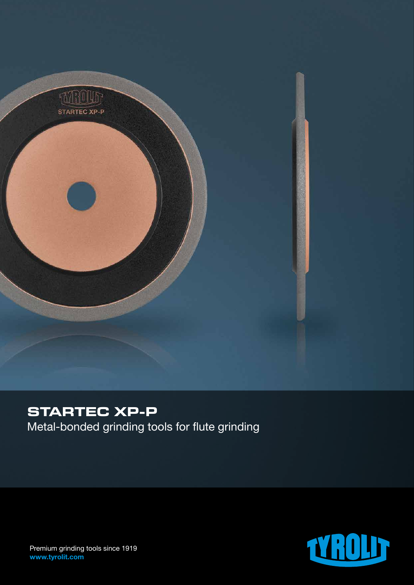

# **STARTEC XP-P**

Metal-bonded grinding tools for flute grinding



Premium grinding tools since 1919 www.tyrolit.com